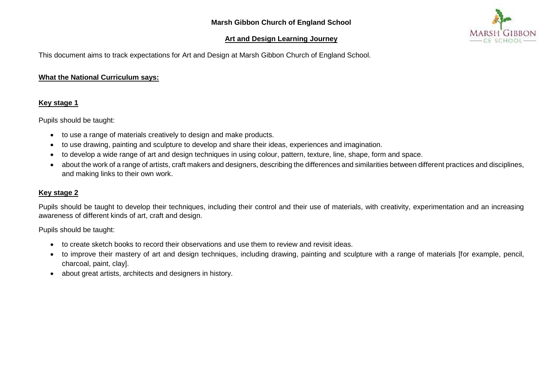## **Art and Design Learning Journey**



This document aims to track expectations for Art and Design at Marsh Gibbon Church of England School.

## **What the National Curriculum says:**

## **Key stage 1**

Pupils should be taught:

- to use a range of materials creatively to design and make products.
- to use drawing, painting and sculpture to develop and share their ideas, experiences and imagination.
- to develop a wide range of art and design techniques in using colour, pattern, texture, line, shape, form and space.
- about the work of a range of artists, craft makers and designers, describing the differences and similarities between different practices and disciplines, and making links to their own work.

## **Key stage 2**

Pupils should be taught to develop their techniques, including their control and their use of materials, with creativity, experimentation and an increasing awareness of different kinds of art, craft and design.

Pupils should be taught:

- to create sketch books to record their observations and use them to review and revisit ideas.
- to improve their mastery of art and design techniques, including drawing, painting and sculpture with a range of materials [for example, pencil, charcoal, paint, clay].
- about great artists, architects and designers in history.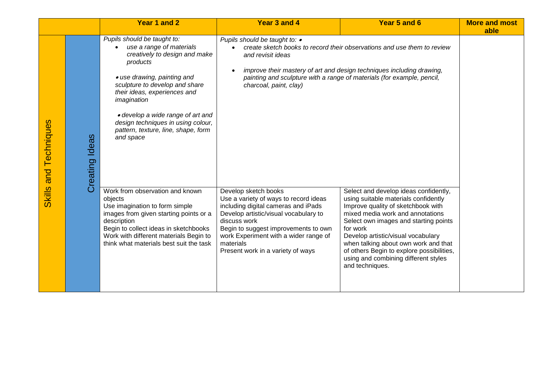|                |                       | Year 1 and 2                                                                                                                                                                                                                                                                                                                                        | Year 3 and 4                                                                                                                                                                                                                                                                                     | Year 5 and 6                                                                                                                                                                                                                                                                                                                                                                                       | <b>More and most</b> |  |
|----------------|-----------------------|-----------------------------------------------------------------------------------------------------------------------------------------------------------------------------------------------------------------------------------------------------------------------------------------------------------------------------------------------------|--------------------------------------------------------------------------------------------------------------------------------------------------------------------------------------------------------------------------------------------------------------------------------------------------|----------------------------------------------------------------------------------------------------------------------------------------------------------------------------------------------------------------------------------------------------------------------------------------------------------------------------------------------------------------------------------------------------|----------------------|--|
|                |                       |                                                                                                                                                                                                                                                                                                                                                     |                                                                                                                                                                                                                                                                                                  |                                                                                                                                                                                                                                                                                                                                                                                                    | able                 |  |
| and Techniques | <b>Creating Ideas</b> | Pupils should be taught to:<br>use a range of materials<br>creatively to design and make<br>products<br>• use drawing, painting and<br>sculpture to develop and share<br>their ideas, experiences and<br>imagination<br>· develop a wide range of art and<br>design techniques in using colour,<br>pattern, texture, line, shape, form<br>and space | Pupils should be taught to: •<br>and revisit ideas<br>charcoal, paint, clay)                                                                                                                                                                                                                     | create sketch books to record their observations and use them to review<br>improve their mastery of art and design techniques including drawing,<br>painting and sculpture with a range of materials (for example, pencil,                                                                                                                                                                         |                      |  |
| <b>Skills</b>  |                       | Work from observation and known<br>objects<br>Use imagination to form simple<br>images from given starting points or a<br>description<br>Begin to collect ideas in sketchbooks<br>Work with different materials Begin to<br>think what materials best suit the task                                                                                 | Develop sketch books<br>Use a variety of ways to record ideas<br>including digital cameras and iPads<br>Develop artistic/visual vocabulary to<br>discuss work<br>Begin to suggest improvements to own<br>work Experiment with a wider range of<br>materials<br>Present work in a variety of ways | Select and develop ideas confidently,<br>using suitable materials confidently<br>Improve quality of sketchbook with<br>mixed media work and annotations<br>Select own images and starting points<br>for work<br>Develop artistic/visual vocabulary<br>when talking about own work and that<br>of others Begin to explore possibilities,<br>using and combining different styles<br>and techniques. |                      |  |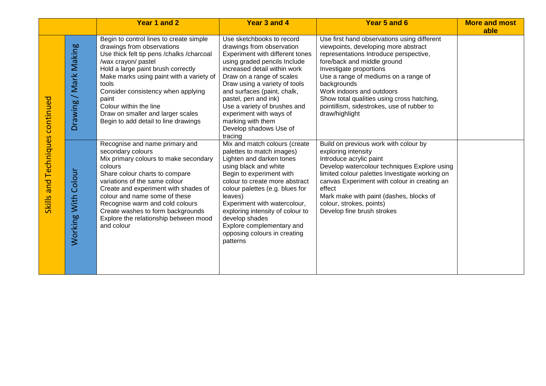|                                                        |                                                    | Year 1 and 2                                                                                                                                                                                                                                                                                                                                                                                 | Year 3 and 4                                                                                                                                                                                                                                                                                                                                                                                        | Year 5 and 6                                                                                                                                                                                                                                                                                                                                                                              | <b>More and most</b><br>able |
|--------------------------------------------------------|----------------------------------------------------|----------------------------------------------------------------------------------------------------------------------------------------------------------------------------------------------------------------------------------------------------------------------------------------------------------------------------------------------------------------------------------------------|-----------------------------------------------------------------------------------------------------------------------------------------------------------------------------------------------------------------------------------------------------------------------------------------------------------------------------------------------------------------------------------------------------|-------------------------------------------------------------------------------------------------------------------------------------------------------------------------------------------------------------------------------------------------------------------------------------------------------------------------------------------------------------------------------------------|------------------------------|
| continued<br><b>Techniques</b><br>and<br><b>Skills</b> | Mark Making<br>$\overline{\phantom{0}}$<br>Drawing | Begin to control lines to create simple<br>drawings from observations<br>Use thick felt tip pens / chalks / charcoal<br>/wax crayon/ pastel<br>Hold a large paint brush correctly<br>Make marks using paint with a variety of<br>tools<br>Consider consistency when applying<br>paint<br>Colour within the line<br>Draw on smaller and larger scales<br>Begin to add detail to line drawings | Use sketchbooks to record<br>drawings from observation<br>Experiment with different tones<br>using graded pencils Include<br>increased detail within work<br>Draw on a range of scales<br>Draw using a variety of tools<br>and surfaces (paint, chalk,<br>pastel, pen and ink)<br>Use a variety of brushes and<br>experiment with ways of<br>marking with them<br>Develop shadows Use of<br>tracing | Use first hand observations using different<br>viewpoints, developing more abstract<br>representations Introduce perspective,<br>fore/back and middle ground<br>Investigate proportions<br>Use a range of mediums on a range of<br>backgrounds<br>Work indoors and outdoors<br>Show total qualities using cross hatching,<br>pointillism, sidestrokes, use of rubber to<br>draw/highlight |                              |
|                                                        | Colour<br>Working With                             | Recognise and name primary and<br>secondary colours<br>Mix primary colours to make secondary<br>colours<br>Share colour charts to compare<br>variations of the same colour<br>Create and experiment with shades of<br>colour and name some of these<br>Recognise warm and cold colours<br>Create washes to form backgrounds<br>Explore the relationship between mood<br>and colour           | Mix and match colours (create<br>palettes to match images)<br>Lighten and darken tones<br>using black and white<br>Begin to experiment with<br>colour to create more abstract<br>colour palettes (e.g. blues for<br>leaves)<br>Experiment with watercolour,<br>exploring intensity of colour to<br>develop shades<br>Explore complementary and<br>opposing colours in creating<br>patterns          | Build on previous work with colour by<br>exploring intensity<br>Introduce acrylic paint<br>Develop watercolour techniques Explore using<br>limited colour palettes Investigate working on<br>canvas Experiment with colour in creating an<br>effect<br>Mark make with paint (dashes, blocks of<br>colour, strokes, points)<br>Develop fine brush strokes                                  |                              |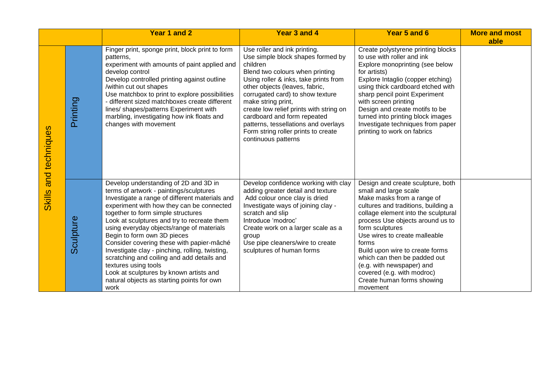|                      |           | Year 1 and 2                                                                                                                                                                                                                                                                                                                                                                                                                                                                                                                                                                                                            | Year 3 and 4                                                                                                                                                                                                                                                                                                                                                                                                                          | Year 5 and 6                                                                                                                                                                                                                                                                                                                                                                                                                                    | <b>More and most</b> |
|----------------------|-----------|-------------------------------------------------------------------------------------------------------------------------------------------------------------------------------------------------------------------------------------------------------------------------------------------------------------------------------------------------------------------------------------------------------------------------------------------------------------------------------------------------------------------------------------------------------------------------------------------------------------------------|---------------------------------------------------------------------------------------------------------------------------------------------------------------------------------------------------------------------------------------------------------------------------------------------------------------------------------------------------------------------------------------------------------------------------------------|-------------------------------------------------------------------------------------------------------------------------------------------------------------------------------------------------------------------------------------------------------------------------------------------------------------------------------------------------------------------------------------------------------------------------------------------------|----------------------|
| techniques           | Printing  | Finger print, sponge print, block print to form<br>patterns,<br>experiment with amounts of paint applied and<br>develop control<br>Develop controlled printing against outline<br>/within cut out shapes<br>Use matchbox to print to explore possibilities<br>- different sized matchboxes create different<br>lines/ shapes/patterns Experiment with<br>marbling, investigating how ink floats and<br>changes with movement                                                                                                                                                                                            | Use roller and ink printing.<br>Use simple block shapes formed by<br>children<br>Blend two colours when printing<br>Using roller & inks, take prints from<br>other objects (leaves, fabric,<br>corrugated card) to show texture<br>make string print,<br>create low relief prints with string on<br>cardboard and form repeated<br>patterns, tessellations and overlays<br>Form string roller prints to create<br>continuous patterns | Create polystyrene printing blocks<br>to use with roller and ink<br>Explore monoprinting (see below<br>for artists)<br>Explore Intaglio (copper etching)<br>using thick cardboard etched with<br>sharp pencil point Experiment<br>with screen printing<br>Design and create motifs to be<br>turned into printing block images<br>Investigate techniques from paper<br>printing to work on fabrics                                               | able                 |
| and<br><b>Skills</b> | Sculpture | Develop understanding of 2D and 3D in<br>terms of artwork - paintings/sculptures<br>Investigate a range of different materials and<br>experiment with how they can be connected<br>together to form simple structures<br>Look at sculptures and try to recreate them<br>using everyday objects/range of materials<br>Begin to form own 3D pieces<br>Consider covering these with papier-mâché<br>Investigate clay - pinching, rolling, twisting,<br>scratching and coiling and add details and<br>textures using tools<br>Look at sculptures by known artists and<br>natural objects as starting points for own<br>work | Develop confidence working with clay<br>adding greater detail and texture<br>Add colour once clay is dried<br>Investigate ways of joining clay -<br>scratch and slip<br>Introduce 'modroc'<br>Create work on a larger scale as a<br>group<br>Use pipe cleaners/wire to create<br>sculptures of human forms                                                                                                                            | Design and create sculpture, both<br>small and large scale<br>Make masks from a range of<br>cultures and traditions, building a<br>collage element into the sculptural<br>process Use objects around us to<br>form sculptures<br>Use wires to create malleable<br>forms<br>Build upon wire to create forms<br>which can then be padded out<br>(e.g. with newspaper) and<br>covered (e.g. with modroc)<br>Create human forms showing<br>movement |                      |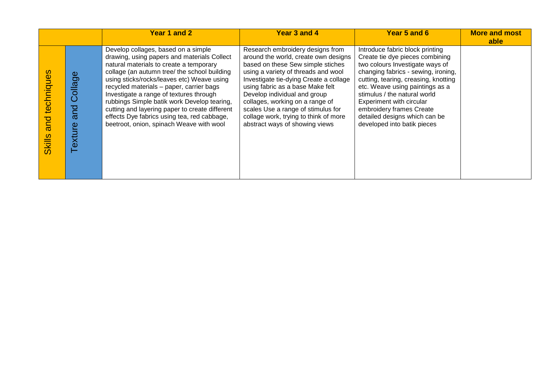|                                    |                          | Year 1 and 2                                                                                                                                                                                                                                                                                                                                                                                                                                                                                                   | Year 3 and 4                                                                                                                                                                                                                                                                                                                                                                                                           | Year 5 and 6                                                                                                                                                                                                                                                                                                                                                                    | <b>More and most</b><br>able |
|------------------------------------|--------------------------|----------------------------------------------------------------------------------------------------------------------------------------------------------------------------------------------------------------------------------------------------------------------------------------------------------------------------------------------------------------------------------------------------------------------------------------------------------------------------------------------------------------|------------------------------------------------------------------------------------------------------------------------------------------------------------------------------------------------------------------------------------------------------------------------------------------------------------------------------------------------------------------------------------------------------------------------|---------------------------------------------------------------------------------------------------------------------------------------------------------------------------------------------------------------------------------------------------------------------------------------------------------------------------------------------------------------------------------|------------------------------|
| techniques<br>and<br><b>Skills</b> | Collage<br>and<br>exture | Develop collages, based on a simple<br>drawing, using papers and materials Collect<br>natural materials to create a temporary<br>collage (an autumn tree/ the school building<br>using sticks/rocks/leaves etc) Weave using<br>recycled materials - paper, carrier bags<br>Investigate a range of textures through<br>rubbings Simple batik work Develop tearing,<br>cutting and layering paper to create different<br>effects Dye fabrics using tea, red cabbage,<br>beetroot, onion, spinach Weave with wool | Research embroidery designs from<br>around the world, create own designs<br>based on these Sew simple stiches<br>using a variety of threads and wool<br>Investigate tie-dying Create a collage<br>using fabric as a base Make felt<br>Develop individual and group<br>collages, working on a range of<br>scales Use a range of stimulus for<br>collage work, trying to think of more<br>abstract ways of showing views | Introduce fabric block printing<br>Create tie dye pieces combining<br>two colours Investigate ways of<br>changing fabrics - sewing, ironing,<br>cutting, tearing, creasing, knotting<br>etc. Weave using paintings as a<br>stimulus / the natural world<br>Experiment with circular<br>embroidery frames Create<br>detailed designs which can be<br>developed into batik pieces |                              |